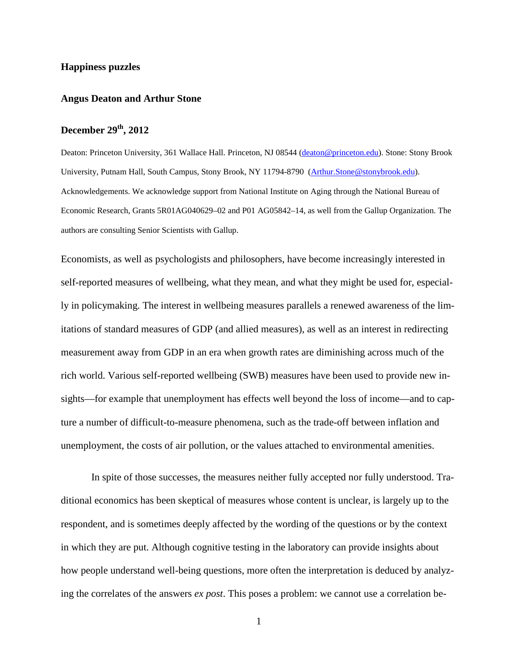## **Happiness puzzles**

### **Angus Deaton and Arthur Stone**

# **December 29th, 2012**

Deaton: Princeton University, 361 Wallace Hall. Princeton, NJ 08544 [\(deaton@princeton.edu\)](mailto:deaton@princeton.edu). Stone: Stony Brook University, Putnam Hall, South Campus, Stony Brook, NY 11794-8790 [\(Arthur.Stone@stonybrook.edu\)](mailto:Arthur.Stone@stonybrook.edu). Acknowledgements. We acknowledge support from National Institute on Aging through the National Bureau of Economic Research, Grants 5R01AG040629–02 and P01 AG05842–14, as well from the Gallup Organization. The authors are consulting Senior Scientists with Gallup.

Economists, as well as psychologists and philosophers, have become increasingly interested in self-reported measures of wellbeing, what they mean, and what they might be used for, especially in policymaking. The interest in wellbeing measures parallels a renewed awareness of the limitations of standard measures of GDP (and allied measures), as well as an interest in redirecting measurement away from GDP in an era when growth rates are diminishing across much of the rich world. Various self-reported wellbeing (SWB) measures have been used to provide new insights—for example that unemployment has effects well beyond the loss of income—and to capture a number of difficult-to-measure phenomena, such as the trade-off between inflation and unemployment, the costs of air pollution, or the values attached to environmental amenities.

In spite of those successes, the measures neither fully accepted nor fully understood. Traditional economics has been skeptical of measures whose content is unclear, is largely up to the respondent, and is sometimes deeply affected by the wording of the questions or by the context in which they are put. Although cognitive testing in the laboratory can provide insights about how people understand well-being questions, more often the interpretation is deduced by analyzing the correlates of the answers *ex post*. This poses a problem: we cannot use a correlation be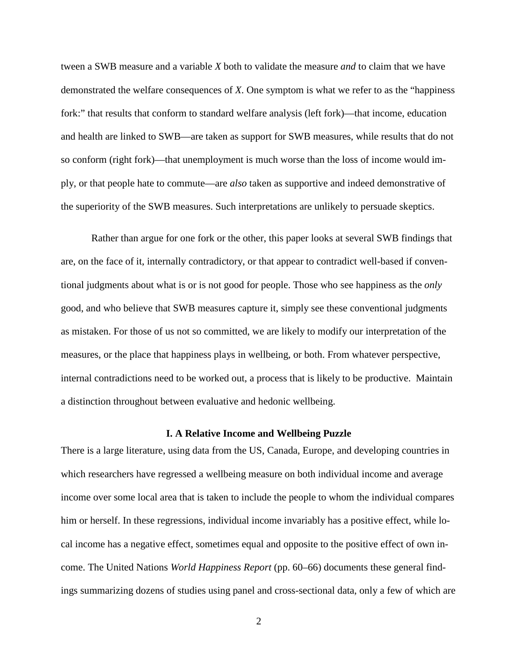tween a SWB measure and a variable *X* both to validate the measure *and* to claim that we have demonstrated the welfare consequences of *X*. One symptom is what we refer to as the "happiness fork:" that results that conform to standard welfare analysis (left fork)—that income, education and health are linked to SWB—are taken as support for SWB measures, while results that do not so conform (right fork)—that unemployment is much worse than the loss of income would imply, or that people hate to commute—are *also* taken as supportive and indeed demonstrative of the superiority of the SWB measures. Such interpretations are unlikely to persuade skeptics.

Rather than argue for one fork or the other, this paper looks at several SWB findings that are, on the face of it, internally contradictory, or that appear to contradict well-based if conventional judgments about what is or is not good for people. Those who see happiness as the *only* good, and who believe that SWB measures capture it, simply see these conventional judgments as mistaken. For those of us not so committed, we are likely to modify our interpretation of the measures, or the place that happiness plays in wellbeing, or both. From whatever perspective, internal contradictions need to be worked out, a process that is likely to be productive. Maintain a distinction throughout between evaluative and hedonic wellbeing.

#### **I. A Relative Income and Wellbeing Puzzle**

There is a large literature, using data from the US, Canada, Europe, and developing countries in which researchers have regressed a wellbeing measure on both individual income and average income over some local area that is taken to include the people to whom the individual compares him or herself. In these regressions, individual income invariably has a positive effect, while local income has a negative effect, sometimes equal and opposite to the positive effect of own income. The United Nations *World Happiness Report* (pp. 60–66) documents these general findings summarizing dozens of studies using panel and cross-sectional data, only a few of which are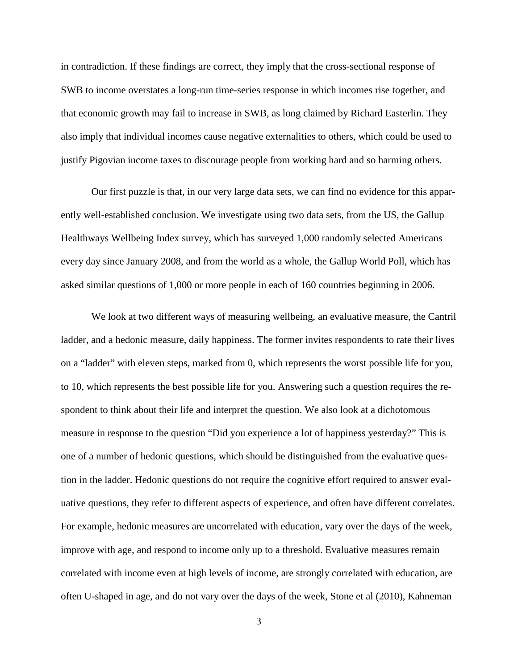in contradiction. If these findings are correct, they imply that the cross-sectional response of SWB to income overstates a long-run time-series response in which incomes rise together, and that economic growth may fail to increase in SWB, as long claimed by Richard Easterlin. They also imply that individual incomes cause negative externalities to others, which could be used to justify Pigovian income taxes to discourage people from working hard and so harming others.

Our first puzzle is that, in our very large data sets, we can find no evidence for this apparently well-established conclusion. We investigate using two data sets, from the US, the Gallup Healthways Wellbeing Index survey, which has surveyed 1,000 randomly selected Americans every day since January 2008, and from the world as a whole, the Gallup World Poll, which has asked similar questions of 1,000 or more people in each of 160 countries beginning in 2006.

We look at two different ways of measuring wellbeing, an evaluative measure, the Cantril ladder, and a hedonic measure, daily happiness. The former invites respondents to rate their lives on a "ladder" with eleven steps, marked from 0, which represents the worst possible life for you, to 10, which represents the best possible life for you. Answering such a question requires the respondent to think about their life and interpret the question. We also look at a dichotomous measure in response to the question "Did you experience a lot of happiness yesterday?" This is one of a number of hedonic questions, which should be distinguished from the evaluative question in the ladder. Hedonic questions do not require the cognitive effort required to answer evaluative questions, they refer to different aspects of experience, and often have different correlates. For example, hedonic measures are uncorrelated with education, vary over the days of the week, improve with age, and respond to income only up to a threshold. Evaluative measures remain correlated with income even at high levels of income, are strongly correlated with education, are often U-shaped in age, and do not vary over the days of the week, Stone et al (2010), Kahneman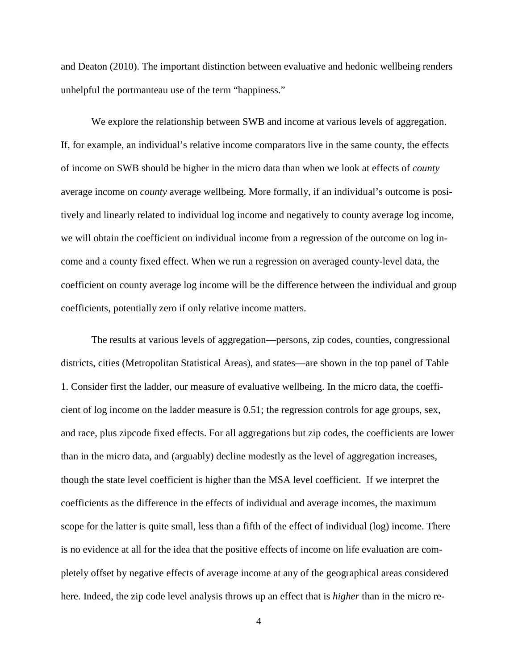and Deaton (2010). The important distinction between evaluative and hedonic wellbeing renders unhelpful the portmanteau use of the term "happiness."

We explore the relationship between SWB and income at various levels of aggregation. If, for example, an individual's relative income comparators live in the same county, the effects of income on SWB should be higher in the micro data than when we look at effects of *county* average income on *county* average wellbeing. More formally, if an individual's outcome is positively and linearly related to individual log income and negatively to county average log income, we will obtain the coefficient on individual income from a regression of the outcome on log income and a county fixed effect. When we run a regression on averaged county-level data, the coefficient on county average log income will be the difference between the individual and group coefficients, potentially zero if only relative income matters.

The results at various levels of aggregation—persons, zip codes, counties, congressional districts, cities (Metropolitan Statistical Areas), and states—are shown in the top panel of Table 1. Consider first the ladder, our measure of evaluative wellbeing. In the micro data, the coefficient of log income on the ladder measure is 0.51; the regression controls for age groups, sex, and race, plus zipcode fixed effects. For all aggregations but zip codes, the coefficients are lower than in the micro data, and (arguably) decline modestly as the level of aggregation increases, though the state level coefficient is higher than the MSA level coefficient. If we interpret the coefficients as the difference in the effects of individual and average incomes, the maximum scope for the latter is quite small, less than a fifth of the effect of individual (log) income. There is no evidence at all for the idea that the positive effects of income on life evaluation are completely offset by negative effects of average income at any of the geographical areas considered here. Indeed, the zip code level analysis throws up an effect that is *higher* than in the micro re-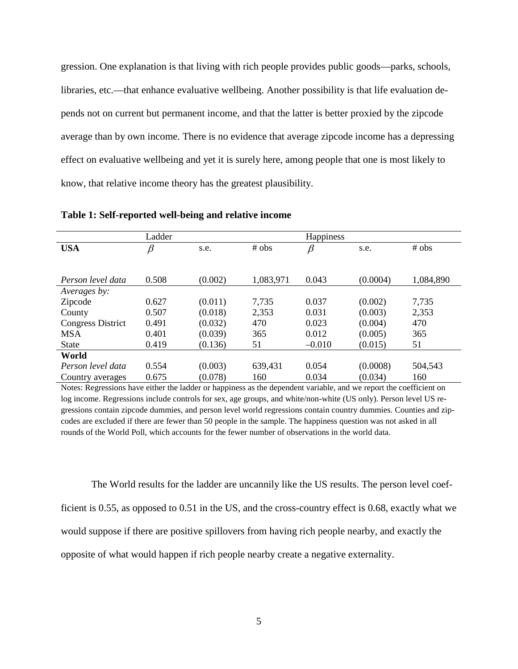gression. One explanation is that living with rich people provides public goods—parks, schools, libraries, etc.—that enhance evaluative wellbeing. Another possibility is that life evaluation depends not on current but permanent income, and that the latter is better proxied by the zipcode average than by own income. There is no evidence that average zipcode income has a depressing effect on evaluative wellbeing and yet it is surely here, among people that one is most likely to know, that relative income theory has the greatest plausibility.

|                          | Ladder  |         |           | Happiness |          |           |
|--------------------------|---------|---------|-----------|-----------|----------|-----------|
| <b>USA</b>               | $\beta$ | s.e.    | # obs     | $\beta$   | s.e.     | # obs     |
|                          |         |         |           |           |          |           |
|                          |         |         |           |           |          |           |
| Person level data        | 0.508   | (0.002) | 1,083,971 | 0.043     | (0.0004) | 1,084,890 |
| Averages by:             |         |         |           |           |          |           |
| Zipcode                  | 0.627   | (0.011) | 7,735     | 0.037     | (0.002)  | 7,735     |
| County                   | 0.507   | (0.018) | 2,353     | 0.031     | (0.003)  | 2,353     |
| <b>Congress District</b> | 0.491   | (0.032) | 470       | 0.023     | (0.004)  | 470       |
| <b>MSA</b>               | 0.401   | (0.039) | 365       | 0.012     | (0.005)  | 365       |
| <b>State</b>             | 0.419   | (0.136) | 51        | $-0.010$  | (0.015)  | 51        |
| World                    |         |         |           |           |          |           |
| Person level data        | 0.554   | (0.003) | 639,431   | 0.054     | (0.0008) | 504,543   |
| Country averages         | 0.675   | (0.078) | 160       | 0.034     | (0.034)  | 160       |

**Table 1: Self-reported well-being and relative income**

Notes: Regressions have either the ladder or happiness as the dependent variable, and we report the coefficient on log income. Regressions include controls for sex, age groups, and white/non-white (US only). Person level US regressions contain zipcode dummies, and person level world regressions contain country dummies. Counties and zipcodes are excluded if there are fewer than 50 people in the sample. The happiness question was not asked in all rounds of the World Poll, which accounts for the fewer number of observations in the world data.

The World results for the ladder are uncannily like the US results. The person level coefficient is 0.55, as opposed to 0.51 in the US, and the cross-country effect is 0.68, exactly what we would suppose if there are positive spillovers from having rich people nearby, and exactly the opposite of what would happen if rich people nearby create a negative externality.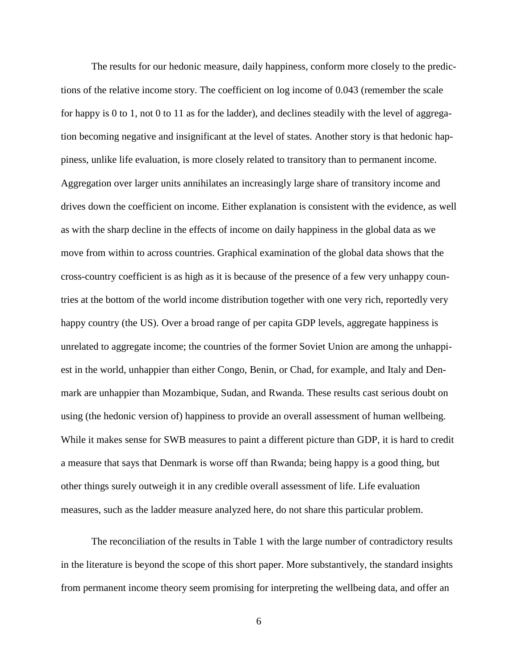The results for our hedonic measure, daily happiness, conform more closely to the predictions of the relative income story. The coefficient on log income of 0.043 (remember the scale for happy is 0 to 1, not 0 to 11 as for the ladder), and declines steadily with the level of aggregation becoming negative and insignificant at the level of states. Another story is that hedonic happiness, unlike life evaluation, is more closely related to transitory than to permanent income. Aggregation over larger units annihilates an increasingly large share of transitory income and drives down the coefficient on income. Either explanation is consistent with the evidence, as well as with the sharp decline in the effects of income on daily happiness in the global data as we move from within to across countries. Graphical examination of the global data shows that the cross-country coefficient is as high as it is because of the presence of a few very unhappy countries at the bottom of the world income distribution together with one very rich, reportedly very happy country (the US). Over a broad range of per capita GDP levels, aggregate happiness is unrelated to aggregate income; the countries of the former Soviet Union are among the unhappiest in the world, unhappier than either Congo, Benin, or Chad, for example, and Italy and Denmark are unhappier than Mozambique, Sudan, and Rwanda. These results cast serious doubt on using (the hedonic version of) happiness to provide an overall assessment of human wellbeing. While it makes sense for SWB measures to paint a different picture than GDP, it is hard to credit a measure that says that Denmark is worse off than Rwanda; being happy is a good thing, but other things surely outweigh it in any credible overall assessment of life. Life evaluation measures, such as the ladder measure analyzed here, do not share this particular problem.

The reconciliation of the results in Table 1 with the large number of contradictory results in the literature is beyond the scope of this short paper. More substantively, the standard insights from permanent income theory seem promising for interpreting the wellbeing data, and offer an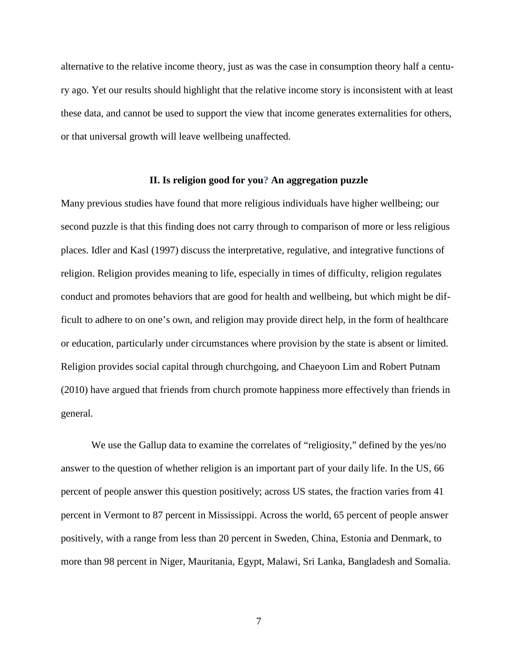alternative to the relative income theory, just as was the case in consumption theory half a century ago. Yet our results should highlight that the relative income story is inconsistent with at least these data, and cannot be used to support the view that income generates externalities for others, or that universal growth will leave wellbeing unaffected.

## **II. Is religion good for you? An aggregation puzzle**

Many previous studies have found that more religious individuals have higher wellbeing; our second puzzle is that this finding does not carry through to comparison of more or less religious places. Idler and Kasl (1997) discuss the interpretative, regulative, and integrative functions of religion. Religion provides meaning to life, especially in times of difficulty, religion regulates conduct and promotes behaviors that are good for health and wellbeing, but which might be difficult to adhere to on one's own, and religion may provide direct help, in the form of healthcare or education, particularly under circumstances where provision by the state is absent or limited. Religion provides social capital through churchgoing, and Chaeyoon Lim and Robert Putnam (2010) have argued that friends from church promote happiness more effectively than friends in general.

We use the Gallup data to examine the correlates of "religiosity," defined by the yes/no answer to the question of whether religion is an important part of your daily life. In the US, 66 percent of people answer this question positively; across US states, the fraction varies from 41 percent in Vermont to 87 percent in Mississippi. Across the world, 65 percent of people answer positively, with a range from less than 20 percent in Sweden, China, Estonia and Denmark, to more than 98 percent in Niger, Mauritania, Egypt, Malawi, Sri Lanka, Bangladesh and Somalia.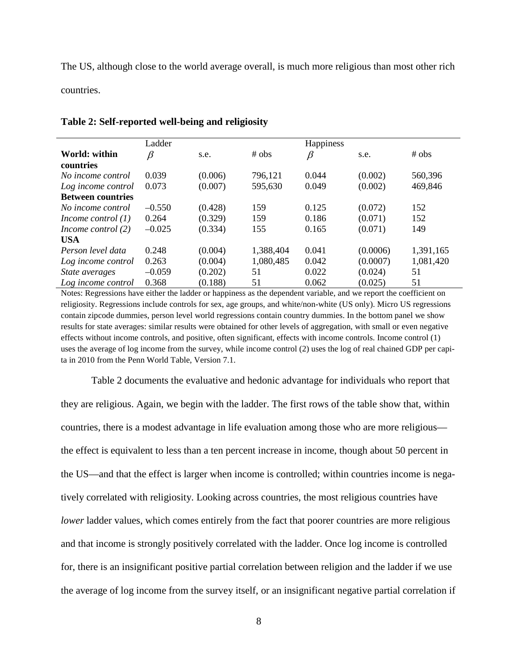The US, although close to the world average overall, is much more religious than most other rich countries.

|                          | Ladder   |         |           | <b>Happiness</b> |          |           |
|--------------------------|----------|---------|-----------|------------------|----------|-----------|
| World: within            | ß        | s.e.    | # obs     | B                | s.e.     | # obs     |
| countries                |          |         |           |                  |          |           |
| No income control        | 0.039    | (0.006) | 796,121   | 0.044            | (0.002)  | 560,396   |
| Log income control       | 0.073    | (0.007) | 595,630   | 0.049            | (0.002)  | 469,846   |
| <b>Between countries</b> |          |         |           |                  |          |           |
| No income control        | $-0.550$ | (0.428) | 159       | 0.125            | (0.072)  | 152       |
| Income control $(1)$     | 0.264    | (0.329) | 159       | 0.186            | (0.071)  | 152       |
| Income control $(2)$     | $-0.025$ | (0.334) | 155       | 0.165            | (0.071)  | 149       |
| <b>USA</b>               |          |         |           |                  |          |           |
| Person level data        | 0.248    | (0.004) | 1,388,404 | 0.041            | (0.0006) | 1,391,165 |
| Log income control       | 0.263    | (0.004) | 1,080,485 | 0.042            | (0.0007) | 1,081,420 |
| State averages           | $-0.059$ | (0.202) | 51        | 0.022            | (0.024)  | 51        |
| Log income control       | 0.368    | (0.188) | 51        | 0.062            | (0.025)  | 51        |

### **Table 2: Self-reported well-being and religiosity**

Notes: Regressions have either the ladder or happiness as the dependent variable, and we report the coefficient on religiosity. Regressions include controls for sex, age groups, and white/non-white (US only). Micro US regressions contain zipcode dummies, person level world regressions contain country dummies. In the bottom panel we show results for state averages: similar results were obtained for other levels of aggregation, with small or even negative effects without income controls, and positive, often significant, effects with income controls. Income control (1) uses the average of log income from the survey, while income control (2) uses the log of real chained GDP per capita in 2010 from the Penn World Table, Version 7.1.

Table 2 documents the evaluative and hedonic advantage for individuals who report that they are religious. Again, we begin with the ladder. The first rows of the table show that, within countries, there is a modest advantage in life evaluation among those who are more religious the effect is equivalent to less than a ten percent increase in income, though about 50 percent in the US—and that the effect is larger when income is controlled; within countries income is negatively correlated with religiosity. Looking across countries, the most religious countries have *lower* ladder values, which comes entirely from the fact that poorer countries are more religious and that income is strongly positively correlated with the ladder. Once log income is controlled for, there is an insignificant positive partial correlation between religion and the ladder if we use the average of log income from the survey itself, or an insignificant negative partial correlation if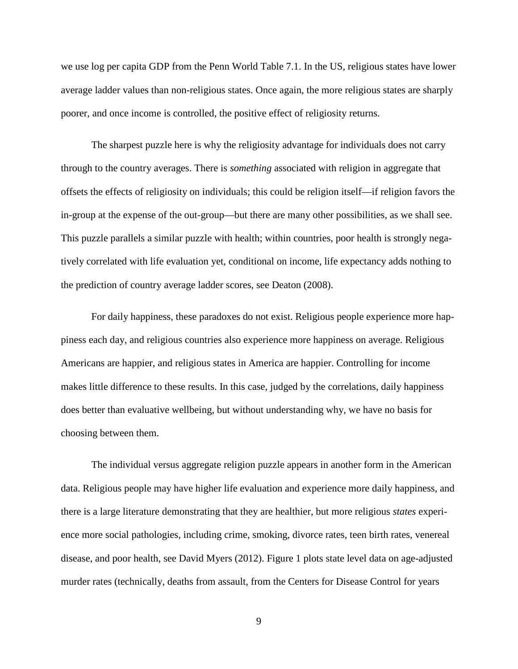we use log per capita GDP from the Penn World Table 7.1. In the US, religious states have lower average ladder values than non-religious states. Once again, the more religious states are sharply poorer, and once income is controlled, the positive effect of religiosity returns.

The sharpest puzzle here is why the religiosity advantage for individuals does not carry through to the country averages. There is *something* associated with religion in aggregate that offsets the effects of religiosity on individuals; this could be religion itself—if religion favors the in-group at the expense of the out-group—but there are many other possibilities, as we shall see. This puzzle parallels a similar puzzle with health; within countries, poor health is strongly negatively correlated with life evaluation yet, conditional on income, life expectancy adds nothing to the prediction of country average ladder scores, see Deaton (2008).

For daily happiness, these paradoxes do not exist. Religious people experience more happiness each day, and religious countries also experience more happiness on average. Religious Americans are happier, and religious states in America are happier. Controlling for income makes little difference to these results. In this case, judged by the correlations, daily happiness does better than evaluative wellbeing, but without understanding why, we have no basis for choosing between them.

The individual versus aggregate religion puzzle appears in another form in the American data. Religious people may have higher life evaluation and experience more daily happiness, and there is a large literature demonstrating that they are healthier, but more religious *states* experience more social pathologies, including crime, smoking, divorce rates, teen birth rates, venereal disease, and poor health, see David Myers (2012). Figure 1 plots state level data on age-adjusted murder rates (technically, deaths from assault, from the Centers for Disease Control for years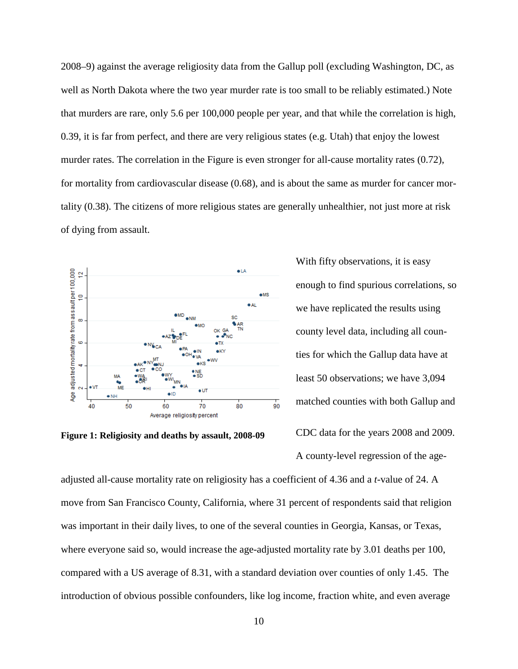2008–9) against the average religiosity data from the Gallup poll (excluding Washington, DC, as well as North Dakota where the two year murder rate is too small to be reliably estimated.) Note that murders are rare, only 5.6 per 100,000 people per year, and that while the correlation is high, 0.39, it is far from perfect, and there are very religious states (e.g. Utah) that enjoy the lowest murder rates. The correlation in the Figure is even stronger for all-cause mortality rates (0.72), for mortality from cardiovascular disease (0.68), and is about the same as murder for cancer mortality (0.38). The citizens of more religious states are generally unhealthier, not just more at risk of dying from assault.



**Figure 1: Religiosity and deaths by assault, 2008-09**

With fifty observations, it is easy enough to find spurious correlations, so we have replicated the results using county level data, including all counties for which the Gallup data have at least 50 observations; we have 3,094 matched counties with both Gallup and CDC data for the years 2008 and 2009.

A county-level regression of the age-

adjusted all-cause mortality rate on religiosity has a coefficient of 4.36 and a *t*-value of 24. A move from San Francisco County, California, where 31 percent of respondents said that religion was important in their daily lives, to one of the several counties in Georgia, Kansas, or Texas, where everyone said so, would increase the age-adjusted mortality rate by 3.01 deaths per 100, compared with a US average of 8.31, with a standard deviation over counties of only 1.45. The introduction of obvious possible confounders, like log income, fraction white, and even average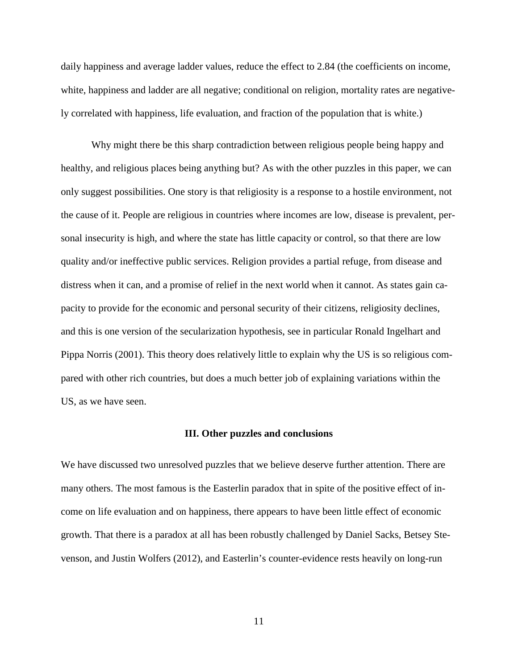daily happiness and average ladder values, reduce the effect to 2.84 (the coefficients on income, white, happiness and ladder are all negative; conditional on religion, mortality rates are negatively correlated with happiness, life evaluation, and fraction of the population that is white.)

Why might there be this sharp contradiction between religious people being happy and healthy, and religious places being anything but? As with the other puzzles in this paper, we can only suggest possibilities. One story is that religiosity is a response to a hostile environment, not the cause of it. People are religious in countries where incomes are low, disease is prevalent, personal insecurity is high, and where the state has little capacity or control, so that there are low quality and/or ineffective public services. Religion provides a partial refuge, from disease and distress when it can, and a promise of relief in the next world when it cannot. As states gain capacity to provide for the economic and personal security of their citizens, religiosity declines, and this is one version of the secularization hypothesis, see in particular Ronald Ingelhart and Pippa Norris (2001). This theory does relatively little to explain why the US is so religious compared with other rich countries, but does a much better job of explaining variations within the US, as we have seen.

#### **III. Other puzzles and conclusions**

We have discussed two unresolved puzzles that we believe deserve further attention. There are many others. The most famous is the Easterlin paradox that in spite of the positive effect of income on life evaluation and on happiness, there appears to have been little effect of economic growth. That there is a paradox at all has been robustly challenged by Daniel Sacks, Betsey Stevenson, and Justin Wolfers (2012), and Easterlin's counter-evidence rests heavily on long-run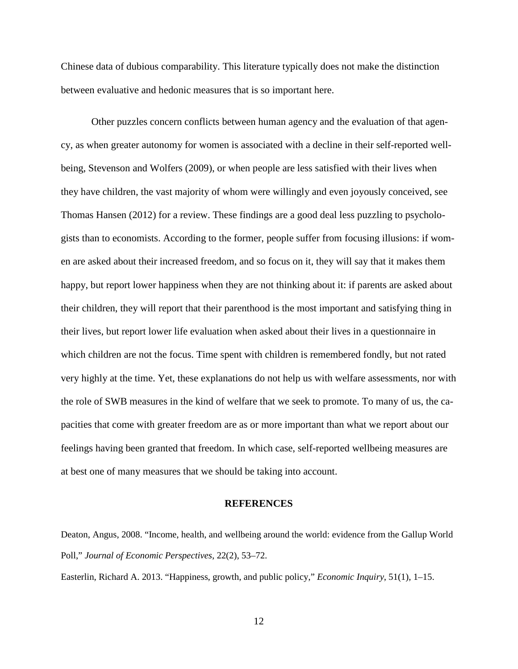Chinese data of dubious comparability. This literature typically does not make the distinction between evaluative and hedonic measures that is so important here.

Other puzzles concern conflicts between human agency and the evaluation of that agency, as when greater autonomy for women is associated with a decline in their self-reported wellbeing, Stevenson and Wolfers (2009), or when people are less satisfied with their lives when they have children, the vast majority of whom were willingly and even joyously conceived, see Thomas Hansen (2012) for a review. These findings are a good deal less puzzling to psychologists than to economists. According to the former, people suffer from focusing illusions: if women are asked about their increased freedom, and so focus on it, they will say that it makes them happy, but report lower happiness when they are not thinking about it: if parents are asked about their children, they will report that their parenthood is the most important and satisfying thing in their lives, but report lower life evaluation when asked about their lives in a questionnaire in which children are not the focus. Time spent with children is remembered fondly, but not rated very highly at the time. Yet, these explanations do not help us with welfare assessments, nor with the role of SWB measures in the kind of welfare that we seek to promote. To many of us, the capacities that come with greater freedom are as or more important than what we report about our feelings having been granted that freedom. In which case, self-reported wellbeing measures are at best one of many measures that we should be taking into account.

# **REFERENCES**

Deaton, Angus, 2008. "Income, health, and wellbeing around the world: evidence from the Gallup World Poll," *Journal of Economic Perspectives*, 22(2), 53–72.

Easterlin, Richard A. 2013. "Happiness, growth, and public policy," *Economic Inquiry*, 51(1), 1–15.